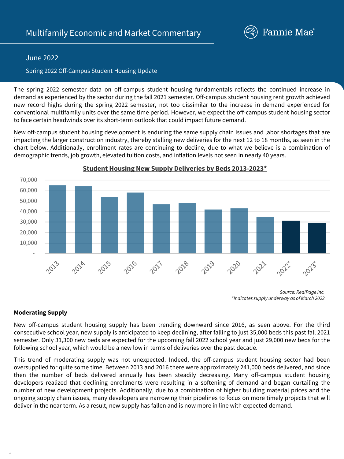

# June 2022

## Spring 2022 Off-Campus Student Housing Update

The spring 2022 semester data on off-campus student housing fundamentals reflects the continued increase in demand as experienced by the sector during the fall 2021 semester. Off-campus student housing rent growth achieved new record highs during the spring 2022 semester, not too dissimilar to the increase in demand experienced for conventional multifamily units over the same time period. However, we expect the off-campus student housing sector to face certain headwinds over its short-term outlook that could impact future demand.

New off-campus student housing development is enduring the same supply chain issues and labor shortages that are impacting the larger construction industry, thereby stalling new deliveries for the next 12 to 18 months, as seen in the chart below. Additionally, enrollment rates are continuing to decline, due to what we believe is a combination of demographic trends, job growth, elevated tuition costs, and inflation levels not seen in nearly 40 years.



#### **Student Housing New Supply Deliveries by Beds 2013-2023\***

#### **Moderating Supply**

1

New off-campus student housing supply has been trending downward since 2016, as seen above. For the third consecutive school year, new supply is anticipated to keep declining, after falling to just 35,000 beds this past fall 2021 semester. Only 31,300 new beds are expected for the upcoming fall 2022 school year and just 29,000 new beds for the following school year, which would be a new low in terms of deliveries over the past decade.

This trend of moderating supply was not unexpected. Indeed, the off-campus student housing sector had been oversupplied for quite some time. Between 2013 and 2016 there were approximately 241,000 beds delivered, and since then the number of beds delivered annually has been steadily decreasing. Many off-campus student housing developers realized that declining enrollments were resulting in a softening of demand and began curtailing the number of new development projects. Additionally, due to a combination of higher building material prices and the ongoing supply chain issues, many developers are narrowing their pipelines to focus on more timely projects that will deliver in the near term. As a result, new supply has fallen and is now more in line with expected demand.

*Source: RealPage Inc. \*Indicates supply underway as of March 2022*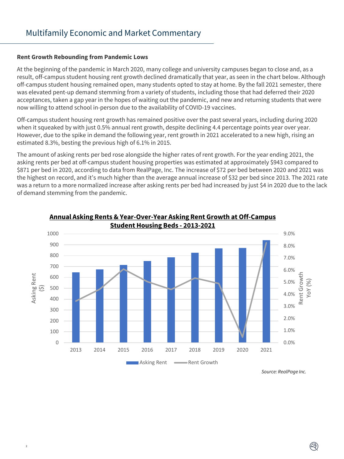#### **Rent Growth Rebounding from Pandemic Lows**

 $\overline{2}$ 

At the beginning of the pandemic in March 2020, many college and university campuses began to close and, as a result, off-campus student housing rent growth declined dramatically that year, as seen in the chart below. Although off-campus student housing remained open, many students opted to stay at home. By the fall 2021 semester, there was elevated pent-up demand stemming from a variety of students, including those that had deferred their 2020 acceptances, taken a gap year in the hopes of waiting out the pandemic, and new and returning students that were now willing to attend school in-person due to the availability of COVID-19 vaccines.

Off-campus student housing rent growth has remained positive over the past several years, including during 2020 when it squeaked by with just 0.5% annual rent growth, despite declining 4.4 percentage points year over year. However, due to the spike in demand the following year, rent growth in 2021 accelerated to a new high, rising an estimated 8.3%, besting the previous high of 6.1% in 2015.

The amount of asking rents per bed rose alongside the higher rates of rent growth. For the year ending 2021, the asking rents per bed at off-campus student housing properties was estimated at approximately \$943 compared to \$871 per bed in 2020, according to data from RealPage, Inc. The increase of \$72 per bed between 2020 and 2021 was the highest on record, and it's much higher than the average annual increase of \$32 per bed since 2013. The 2021 rate was a return to a more normalized increase after asking rents per bed had increased by just \$4 in 2020 due to the lack of demand stemming from the pandemic.





*Source: RealPage Inc.*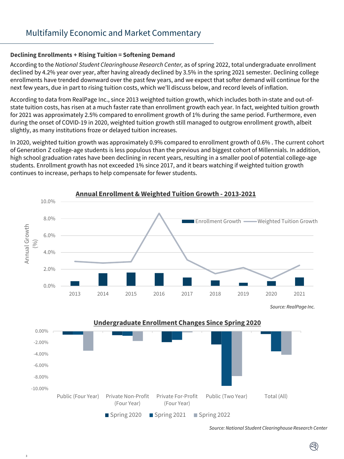# **Declining Enrollments + Rising Tuition = Softening Demand**

According to the *National Student Clearinghouse Research Center,* as of spring 2022, total undergraduate enrollment declined by 4.2% year over year, after having already declined by 3.5% in the spring 2021 semester. Declining college enrollments have trended downward over the past few years, and we expect that softer demand will continue for the next few years, due in part to rising tuition costs, which we'll discuss below, and record levels of inflation.

According to data from RealPage Inc., since 2013 weighted tuition growth, which includes both in-state and out-ofstate tuition costs, has risen at a much faster rate than enrollment growth each year. In fact, weighted tuition growth for 2021 was approximately 2.5% compared to enrollment growth of 1% during the same period. Furthermore, even during the onset of COVID-19 in 2020, weighted tuition growth still managed to outgrow enrollment growth, albeit slightly, as many institutions froze or delayed tuition increases.

In 2020, weighted tuition growth was approximately 0.9% compared to enrollment growth of 0.6% . The current cohort of Generation Z college-age students is less populous than the previous and biggest cohort of Millennials. In addition, high school graduation rates have been declining in recent years, resulting in a smaller pool of potential college-age students. Enrollment growth has not exceeded 1% since 2017, and it bears watching if weighted tuition growth continues to increase, perhaps to help compensate for fewer students.



*Source: National Student Clearinghouse Research Center*

Ø)

3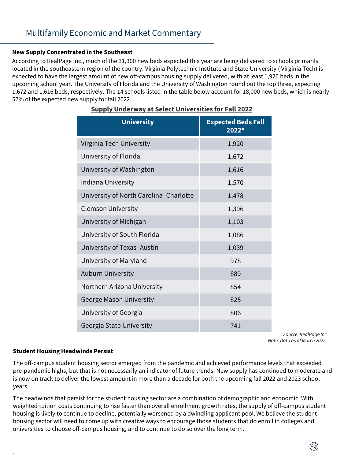## **New Supply Concentrated in the Southeast**

According to RealPage Inc., much of the 31,300 new beds expected this year are being delivered to schools primarily located in the southeastern region of the country. Virginia Polytechnic Institute and State University ( Virginia Tech) is expected to have the largest amount of new off-campus housing supply delivered, with at least 1,920 beds in the upcoming school year. The University of Florida and the University of Washington round out the top three, expecting 1,672 and 1,616 beds, respectively. The 14 schools listed in the table below account for 18,000 new beds, which is nearly 57% of the expected new supply for fall 2022.

| <b>University</b>                      | <b>Expected Beds Fall</b><br>2022* |
|----------------------------------------|------------------------------------|
| Virginia Tech University               | 1,920                              |
| University of Florida                  | 1,672                              |
| University of Washington               | 1,616                              |
| Indiana University                     | 1,570                              |
| University of North Carolina-Charlotte | 1,478                              |
| <b>Clemson University</b>              | 1,396                              |
| University of Michigan                 | 1,103                              |
| University of South Florida            | 1,086                              |
| University of Texas-Austin             | 1,039                              |
| University of Maryland                 | 978                                |
| <b>Auburn University</b>               | 889                                |
| Northern Arizona University            | 854                                |
| <b>George Mason University</b>         | 825                                |
| University of Georgia                  | 806                                |
| Georgia State University               | 741                                |

## **Supply Underway at Select Universities for Fall 2022**

*Source: RealPage Inc Note: Data as of March 2022.*

## **Student Housing Headwinds Persist**

4

The off-campus student housing sector emerged from the pandemic and achieved performance levels that exceeded pre-pandemic highs, but that is not necessarily an indicator of future trends. New supply has continued to moderate and is now on track to deliver the lowest amount in more than a decade for both the upcoming fall 2022 and 2023 school years.

The headwinds that persist for the student housing sector are a combination of demographic and economic. With weighted tuition costs continuing to rise faster than overall enrollment growth rates, the supply of off-campus student housing is likely to continue to decline, potentially worsened by a dwindling applicant pool. We believe the student housing sector will need to come up with creative ways to encourage those students that do enroll in colleges and universities to choose off-campus housing, and to continue to do so over the long term.